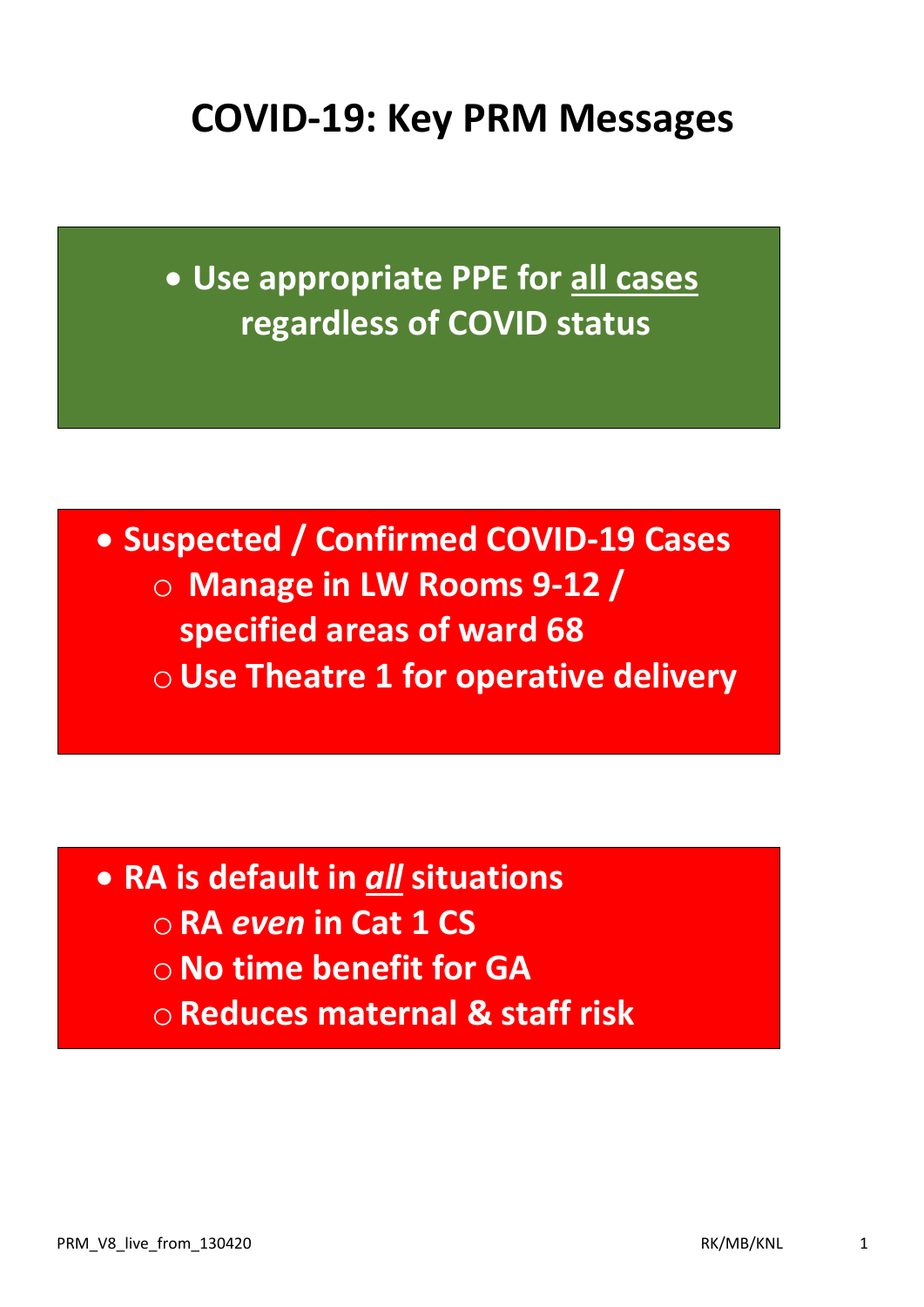## **COVID-19: Key PRM Messages**

• **Use appropriate PPE for all cases regardless of COVID status**

• **Suspected / Confirmed COVID-19 Cases** o **Manage in LW Rooms 9-12 / specified areas of ward 68** o**Use Theatre 1 for operative delivery**

• **RA is default in** *all* **situations** o **RA** *even* **in Cat 1 CS!** o**No time benefit for GA** o **Reduces maternal & staff risk**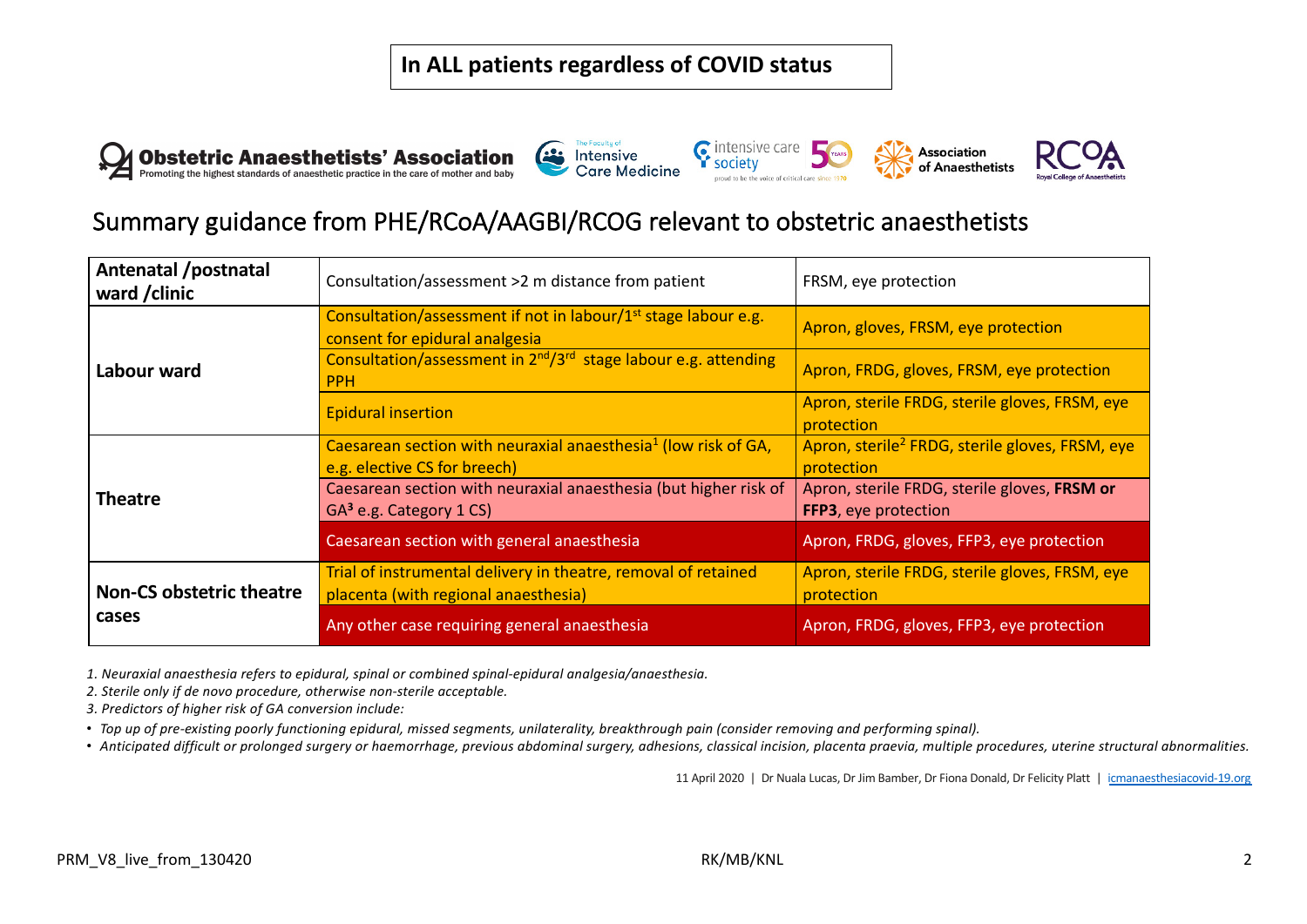







## Summary guidance from PHE/RCoA/AAGBI/RCOG relevant to obstetric anaesthetists

| Antenatal /postnatal<br>ward / clinic    | Consultation/assessment >2 m distance from patient                                                           | FRSM, eye protection                                                      |
|------------------------------------------|--------------------------------------------------------------------------------------------------------------|---------------------------------------------------------------------------|
|                                          | Consultation/assessment if not in labour/1 <sup>st</sup> stage labour e.g.<br>consent for epidural analgesia | Apron, gloves, FRSM, eye protection                                       |
| Labour ward                              | Consultation/assessment in 2 <sup>nd</sup> /3 <sup>rd</sup> stage labour e.g. attending<br><b>PPH</b>        | Apron, FRDG, gloves, FRSM, eye protection                                 |
|                                          | <b>Epidural insertion</b>                                                                                    | Apron, sterile FRDG, sterile gloves, FRSM, eye<br>protection              |
| <b>Theatre</b>                           | Caesarean section with neuraxial anaesthesia <sup>1</sup> (low risk of GA,<br>e.g. elective CS for breech)   | Apron, sterile <sup>2</sup> FRDG, sterile gloves, FRSM, eye<br>protection |
|                                          | Caesarean section with neuraxial anaesthesia (but higher risk of<br>$GA3$ e.g. Category 1 CS)                | Apron, sterile FRDG, sterile gloves, FRSM or<br>FFP3, eye protection      |
|                                          | Caesarean section with general anaesthesia                                                                   | Apron, FRDG, gloves, FFP3, eye protection                                 |
| <b>Non-CS obstetric theatre</b><br>cases | Trial of instrumental delivery in theatre, removal of retained<br>placenta (with regional anaesthesia)       | Apron, sterile FRDG, sterile gloves, FRSM, eye<br>protection              |
|                                          | Any other case requiring general anaesthesia                                                                 | Apron, FRDG, gloves, FFP3, eye protection                                 |

*1. Neuraxial anaesthesia refers to epidural, spinal or combined spinal-epidural analgesia/anaesthesia.*

*2. Sterile only if de novo procedure, otherwise non-sterile acceptable.*

*3. Predictors of higher risk of GA conversion include:* 

• *Top up of pre-existing poorly functioning epidural, missed segments, unilaterality, breakthrough pain (consider removing and performing spinal).*

• *Anticipated difficult or prolonged surgery or haemorrhage, previous abdominal surgery, adhesions, classical incision, placenta praevia, multiple procedures, uterine structural abnormalities.*

11 April 2020 | Dr Nuala Lucas, Dr Jim Bamber, Dr Fiona Donald, Dr Felicity Platt | icmanaesthesiacovid-19.org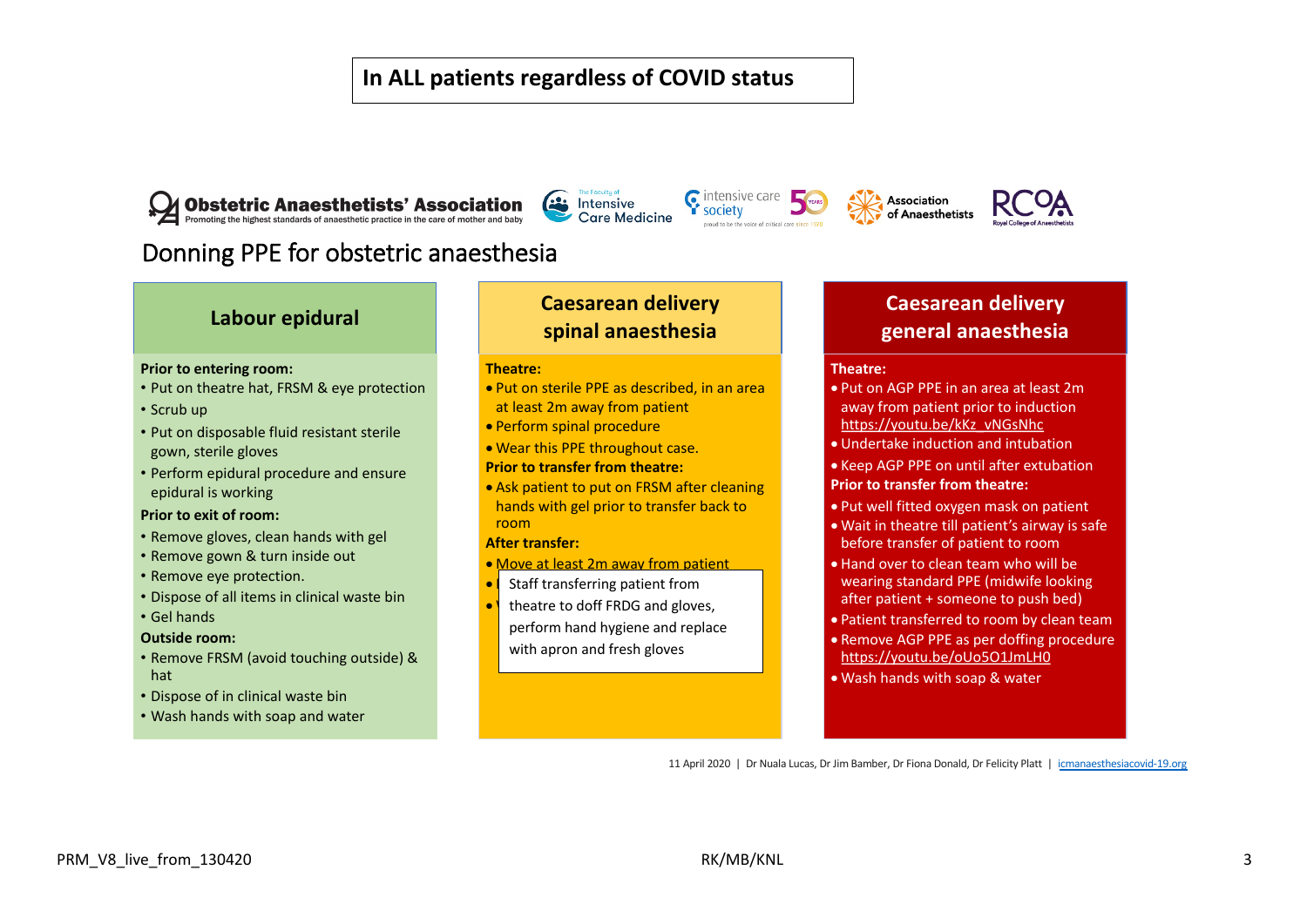#### **In ALL patients regardless of COVID status**



**Com** Intensive **Care Medicine** 







## Donning PPE for obstetric anaesthesia

#### **Labour epidural**

#### **Prior to entering room:**

- Put on theatre hat, FRSM & eye protection
- Scrub up
- Put on disposable fluid resistant sterile gown, sterile gloves
- Perform epidural procedure and ensure epidural is working

#### **Prior to exit of room:**

- Remove gloves, clean hands with gel
- Remove gown & turn inside out
- Remove eye protection.
- Dispose of all items in clinical waste bin
- Gel hands

#### **Outside room:**

- Remove FRSM (avoid touching outside) & hat
- Dispose of in clinical waste bin
- Wash hands with soap and water

#### **Caesarean delivery spinal anaesthesia**

#### **Theatre:**

- Put on sterile PPE as described, in an area at least 2m away from patient
- Perform spinal procedure
- Wear this PPE throughout case.
- **Prior to transfer from theatre:**
- Ask patient to put on FRSM after cleaning hands with gel prior to transfer back to room

#### **After transfer:**

- Move at least 2m away from patient
- Staff transferring patient from
- \ theatre to doff FRDG and gloves,
- perform hand hygiene and replace with apron and fresh gloves

#### **Caesarean delivery general anaesthesia**

#### **Theatre:**

- Put on AGP PPE in an area at least 2m away from patient prior to induction https://youtu.be/kKz\_vNGsNhc
- Undertake induction and intubation
- Keep AGP PPE on until after extubation
- **Prior to transfer from theatre:**
- Put well fitted oxygen mask on patient
- Wait in theatre till patient's airway is safe before transfer of patient to room
- Hand over to clean team who will be wearing standard PPE (midwife looking after patient + someone to push bed)
- Patient transferred to room by clean team
- Remove AGP PPE as per doffing procedure https://youtu.be/oUo5O1JmLH0
- Wash hands with soap & water

11 April 2020 | Dr Nuala Lucas, Dr Jim Bamber, Dr Fiona Donald, Dr Felicity Platt | icmanaesthesiacovid-19.org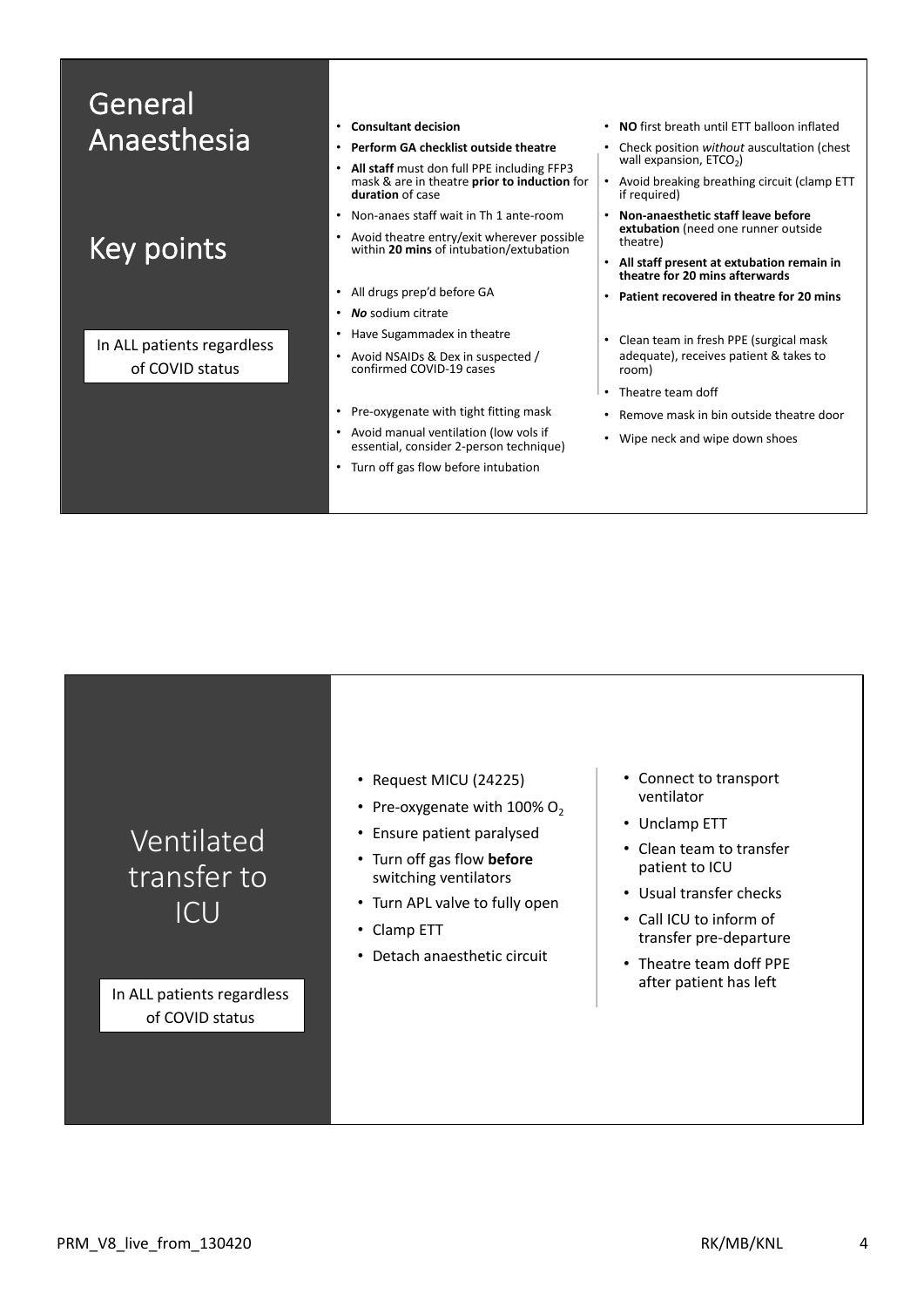| General                    |                                                                                                                             |                                                                              |
|----------------------------|-----------------------------------------------------------------------------------------------------------------------------|------------------------------------------------------------------------------|
| Anaesthesia                | <b>Consultant decision</b><br>$\bullet$                                                                                     | • NO first breath until ETT balloon inflated                                 |
|                            | Perform GA checklist outside theatre<br>$\bullet$                                                                           | Check position without auscultation (chest<br>٠<br>wall expansion, $ETCO2$ ) |
|                            | All staff must don full PPE including FFP3<br>$\bullet$<br>mask & are in theatre prior to induction for<br>duration of case | Avoid breaking breathing circuit (clamp ETT<br>if required)                  |
|                            | Non-anaes staff wait in Th 1 ante-room<br>$\bullet$                                                                         | Non-anaesthetic staff leave before<br>$\bullet$                              |
| Key points                 | Avoid theatre entry/exit wherever possible<br>$\bullet$<br>within 20 mins of intubation/extubation                          | extubation (need one runner outside<br>theatre)                              |
|                            |                                                                                                                             | All staff present at extubation remain in<br>theatre for 20 mins afterwards  |
|                            | All drugs prep'd before GA<br>$\bullet$                                                                                     | Patient recovered in theatre for 20 mins                                     |
|                            | No sodium citrate<br>$\bullet$                                                                                              |                                                                              |
| In ALL patients regardless | Have Sugammadex in theatre<br>$\bullet$                                                                                     | Clean team in fresh PPE (surgical mask<br>$\bullet$                          |
| of COVID status            | Avoid NSAIDs & Dex in suspected /<br>$\bullet$<br>confirmed COVID-19 cases                                                  | adequate), receives patient & takes to<br>room)                              |
|                            |                                                                                                                             | Theatre team doff                                                            |
|                            | Pre-oxygenate with tight fitting mask<br>$\bullet$                                                                          | Remove mask in bin outside theatre door<br>$\bullet$                         |
|                            | Avoid manual ventilation (low vols if<br>$\bullet$<br>essential, consider 2-person technique)                               | Wipe neck and wipe down shoes<br>$\bullet$                                   |
|                            | Turn off gas flow before intubation<br>٠                                                                                    |                                                                              |
|                            |                                                                                                                             |                                                                              |

| Ventilated  |  |
|-------------|--|
| transfer to |  |
| TCU         |  |

In ALL patients regardless of COVID status

- Request MICU (24225)
- Pre-oxygenate with  $100\%$  O<sub>2</sub>
- Ensure patient paralysed
- Turn off gas flow **before** switching ventilators
- Turn APL valve to fully open
- Clamp ETT
- Detach anaesthetic circuit
- Connect to transport ventilator
- Unclamp ETT
- Clean team to transfer patient to ICU
- Usual transfer checks
- Call ICU to inform of transfer pre-departure
- Theatre team doff PPE after patient has left